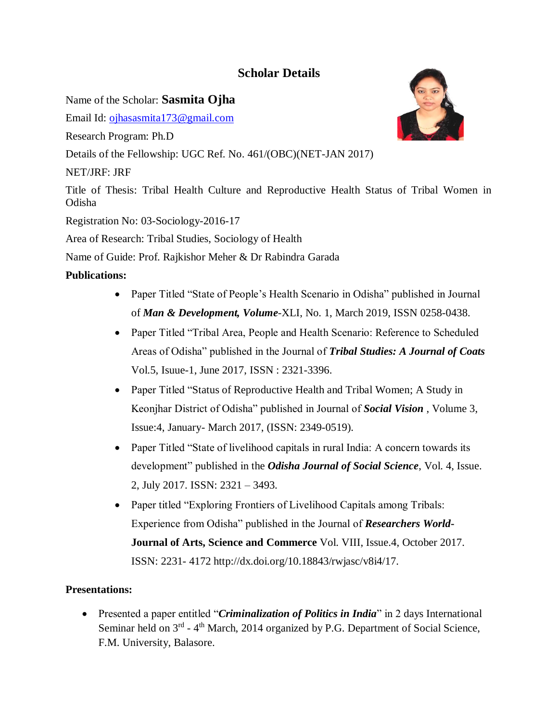## **Scholar Details**

Name of the Scholar: **Sasmita Ojha**

Email Id: [ojhasasmita173@gmail.com](mailto:ojhasasmita173@gmail.com)

Research Program: Ph.D

Details of the Fellowship: UGC Ref. No. 461/(OBC)(NET-JAN 2017)

## NET/JRF: JRF

Title of Thesis: Tribal Health Culture and Reproductive Health Status of Tribal Women in Odisha

Registration No: 03-Sociology-2016-17

Area of Research: Tribal Studies, Sociology of Health

Name of Guide: Prof. Rajkishor Meher & Dr Rabindra Garada

## **Publications:**

- Paper Titled "State of People's Health Scenario in Odisha" published in Journal of *Man & Development, Volume*-XLI, No. 1, March 2019, ISSN 0258-0438.
- Paper Titled "Tribal Area, People and Health Scenario: Reference to Scheduled Areas of Odisha" published in the Journal of *Tribal Studies: A Journal of Coats*  Vol.5, Isuue-1, June 2017, ISSN : 2321-3396.
- Paper Titled "Status of Reproductive Health and Tribal Women; A Study in Keonjhar District of Odisha" published in Journal of *Social Vision* , Volume 3, Issue:4, January- March 2017, (ISSN: 2349-0519).
- Paper Titled "State of livelihood capitals in rural India: A concern towards its development" published in the *Odisha Journal of Social Science*, Vol. 4, Issue. 2, July 2017. ISSN: 2321 – 3493.
- Paper titled "Exploring Frontiers of Livelihood Capitals among Tribals: Experience from Odisha" published in the Journal of *Researchers World***-Journal of Arts, Science and Commerce** Vol. VIII, Issue.4, October 2017. ISSN: 2231- 4172 http://dx.doi.org/10.18843/rwjasc/v8i4/17.

## **Presentations:**

 Presented a paper entitled "*Criminalization of Politics in India*" in 2 days International Seminar held on  $3<sup>rd</sup>$  - 4<sup>th</sup> March, 2014 organized by P.G. Department of Social Science, F.M. University, Balasore.